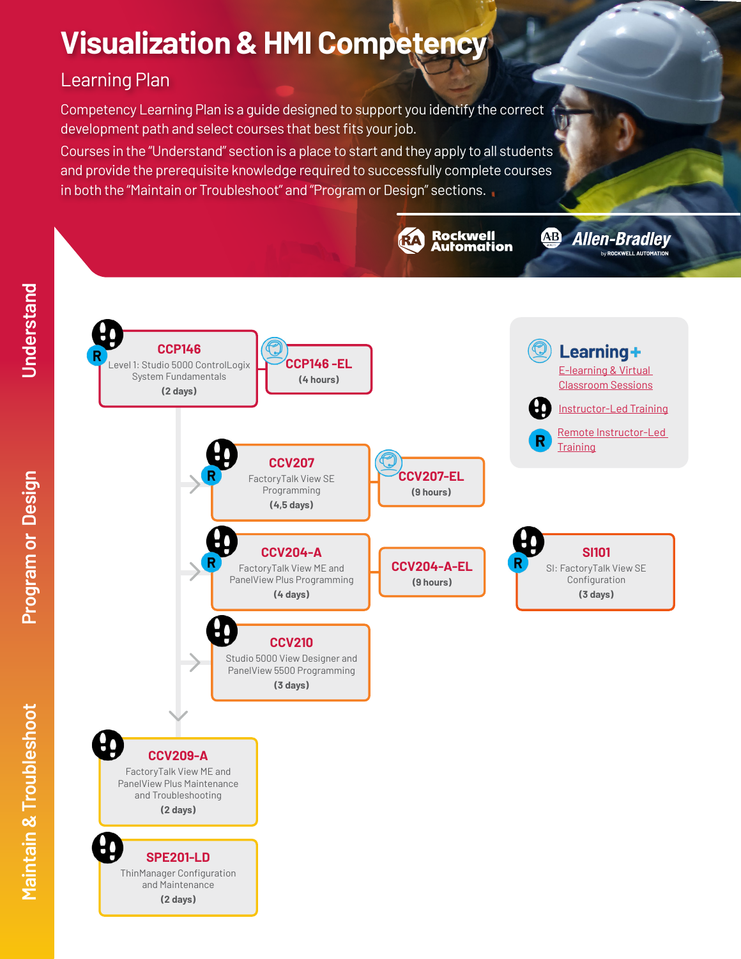# **Visualization & HMI Competency**

# Learning Plan

Competency Learning Plan is a guide designed to support you identify the correct development path and select courses that best fits your job.

Courses in the "Understand" section is a place to start and they apply to all students and provide the prerequisite knowledge required to successfully complete courses in both the "Maintain or Troubleshoot" and "Program or Design" sections.